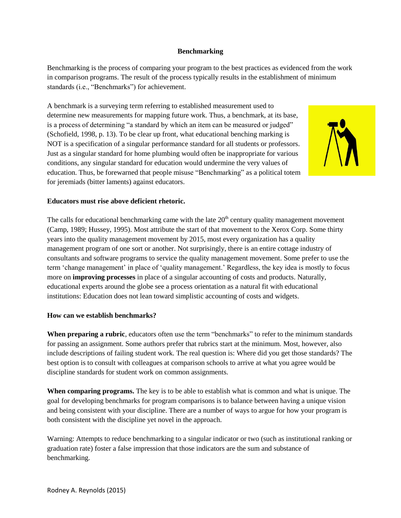## **Benchmarking**

Benchmarking is the process of comparing your program to the best practices as evidenced from the work in comparison programs. The result of the process typically results in the establishment of minimum standards (i.e., "Benchmarks") for achievement.

A benchmark is a surveying term referring to established measurement used to determine new measurements for mapping future work. Thus, a benchmark, at its base, is a process of determining "a standard by which an item can be measured or judged" (Schofield, 1998, p. 13). To be clear up front, what educational benching marking is NOT is a specification of a singular performance standard for all students or professors. Just as a singular standard for home plumbing would often be inappropriate for various conditions, any singular standard for education would undermine the very values of education. Thus, be forewarned that people misuse "Benchmarking" as a political totem for jeremiads (bitter laments) against educators.



## **Educators must rise above deficient rhetoric.**

The calls for educational benchmarking came with the late  $20<sup>th</sup>$  century quality management movement (Camp, 1989; Hussey, 1995). Most attribute the start of that movement to the Xerox Corp. Some thirty years into the quality management movement by 2015, most every organization has a quality management program of one sort or another. Not surprisingly, there is an entire cottage industry of consultants and software programs to service the quality management movement. Some prefer to use the term 'change management' in place of 'quality management.' Regardless, the key idea is mostly to focus more on **improving processes** in place of a singular accounting of costs and products. Naturally, educational experts around the globe see a process orientation as a natural fit with educational institutions: Education does not lean toward simplistic accounting of costs and widgets.

## **How can we establish benchmarks?**

**When preparing a rubric**, educators often use the term "benchmarks" to refer to the minimum standards for passing an assignment. Some authors prefer that rubrics start at the minimum. Most, however, also include descriptions of failing student work. The real question is: Where did you get those standards? The best option is to consult with colleagues at comparison schools to arrive at what you agree would be discipline standards for student work on common assignments.

**When comparing programs.** The key is to be able to establish what is common and what is unique. The goal for developing benchmarks for program comparisons is to balance between having a unique vision and being consistent with your discipline. There are a number of ways to argue for how your program is both consistent with the discipline yet novel in the approach.

Warning: Attempts to reduce benchmarking to a singular indicator or two (such as institutional ranking or graduation rate) foster a false impression that those indicators are the sum and substance of benchmarking.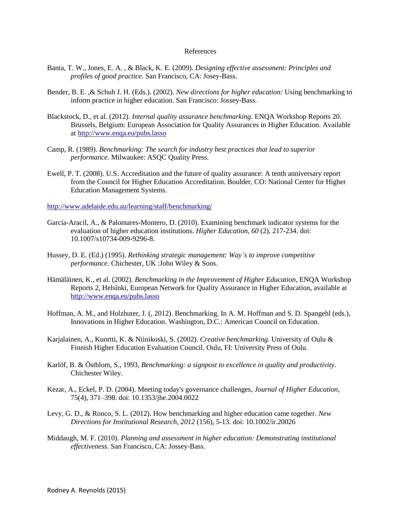## References

- Banta, T. W., Jones, E. A. , & Black, K. E. (2009). *Designing effective assessment: Principles and profiles of good practice*. San Francisco, CA: Josey-Bass.
- Bender, B. E. ,& Schuh J. H. (Eds.). (2002). *New directions for higher education:* Using benchmarking to inform practice in higher education. San Francisco: Jossey-Bass.
- Blackstock, D., et al. (2012). *Internal quality assurance benchmarking*. ENQA Workshop Reports 20. Brussels, Belgium: European Association for Quality Assurances in Higher Education. Available at<http://www.enqa.eu/pubs.lasso>
- Camp, R. (1989). *Benchmarking: The search for industry best practices that lead to superior performance*. Milwaukee: ASQC Quality Press.
- Ewell, P. T. (2008). U.S. Accreditation and the future of quality assurance: A tenth anniversary report from the Council for Higher Education Accreditation. Boulder, CO: National Center for Higher Education Management Systems.

<http://www.adelaide.edu.au/learning/staff/benchmarking/>

- García-Aracil, A., & Palomares-Montero, D. (2010). Examining benchmark indicator systems for the evaluation of higher education institutions. *Higher Education, 60* (2), 217-234. doi: 10.1007/s10734-009-9296-8.
- Hussey, D. E. (Ed.) (1995). *Rethinking strategic management: Way's to improve competitive performance*. Chichester, UK :John Wiley & Sons.
- Hämäläinen, K., et al. (2002). *Benchmarking in the Improvement of Higher Education*, ENQA Workshop Reports 2, Helsinki, European Network for Quality Assurance in Higher Education, available at <http://www.enqa.eu/pubs.lasso>
- Hoffman, A. M., and Holzhuter, J. (, 2012). Benchmarking. In A. M. Hoffman and S. D. Spangehl (eds.), Innovations in Higher Education. Washington, D.C.: American Council on Education.
- Karjalainen, A., Kuortti, K. & Niinikoski, S. (2002). *Creative benchmarking*. University of Oulu & Finnish Higher Education Evaluation Council. Oulu, FI: University Press of Oulu.
- Karlöf, B. & Östblom, S., 1993, *Benchmarking: a signpost to excellence in quality and productivity*. Chichester Wiley.
- Kezar, A., Eckel, P. D. (2004). Meeting today's governance challenges, *Journal of Higher Education*, 75(4), 371–398. doi: 10.1353/jhe.2004.0022
- Levy, G. D., & Ronco, S. L. (2012). How benchmarking and higher education came together. *New Directions for Institutional Research, 2012* (156), 5-13. doi: 10.1002/ir.20026
- Middaugh, M. F. (2010). *Planning and assessment in higher education: Demonstrating institutional effectiveness*. San Francisco, CA: Jossey-Bass.